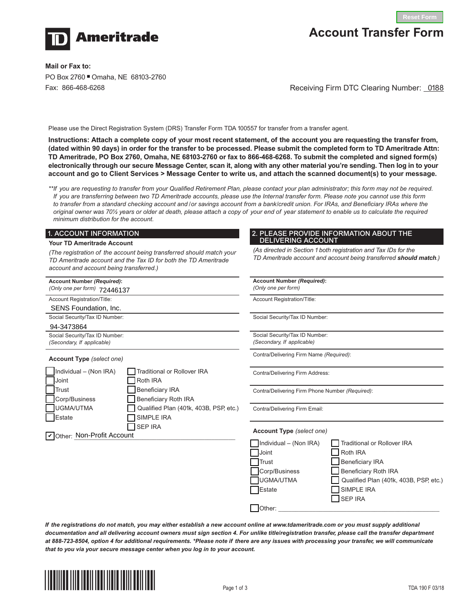

# **Account Transfer Form**

**Mail or Fax to:**  PO Box 2760 Omaha, NE 68103-2760 Fax: 866-468-6268

Receiving Firm DTC Clearing Number: \_0188

Please use the Direct Registration System (DRS) Transfer Form TDA 100557 for transfer from a transfer agent.

**Instructions: Attach a complete copy of your most recent statement, of the account you are requesting the transfer from, (dated within 90 days) in order for the transfer to be processed. Please submit the completed form to TD Ameritrade Attn: TD Ameritrade, PO Box 2760, Omaha, NE 68103-2760 or fax to 866-468-6268. To submit the completed and signed form(s) electronically through our secure Message Center, scan it, along with any other material you're sending. Then log in to your account and go to Client Services > Message Center to write us, and attach the scanned document(s) to your message.**

*\*\*If you are requesting to transfer from your Qualified Retirement Plan, please contact your plan administrator; this form may not be required. If you are transferring between two TD Ameritrade accounts, please use the Internal transfer form. Please note you cannot use this form*  to transfer from a standard checking account and /or savings account from a bank/credit union. For IRAs, and Beneficiary IRAs where the *original owner was 70½ years or older at death, please attach a copy of your end of year statement to enable us to calculate the required minimum distribution for the account.*

#### 1. ACCOUNT INFORMATION

#### **Your TD Ameritrade Account**

*(The registration of the account being transferred should match your TD Ameritrade account and the Tax ID for both the TD Ameritrade account and account being transferred.)*

| <b>Account Number (Required):</b><br>(Only one per form) 72446137 |                                         | Account Number (Required):<br>(Only one per form)            |
|-------------------------------------------------------------------|-----------------------------------------|--------------------------------------------------------------|
| Account Registration/Title:                                       |                                         | Account Registration/Title:                                  |
| <b>SENS Foundation, Inc.</b>                                      |                                         |                                                              |
| Social Security/Tax ID Number:                                    |                                         | Social Security/Tax ID Number:                               |
| 94-3473864                                                        |                                         |                                                              |
| Social Security/Tax ID Number:<br>(Secondary, If applicable)      |                                         | Social Security/Tax ID Number:<br>(Secondary, If applicable) |
| <b>Account Type</b> (select one)                                  |                                         | Contra/Delivering Firm Name (F                               |
| Individual - (Non IRA)<br>Joint                                   | Traditional or Rollover IRA<br>Roth IRA | Contra/Delivering Firm Address                               |
| Trust                                                             | <b>Beneficiary IRA</b>                  | Contra/Delivering Firm Phone N                               |
| Corp/Business                                                     | <b>Beneficiary Roth IRA</b>             |                                                              |
| UGMA/UTMA                                                         | Qualified Plan (401k, 403B, PSP, etc.)  | Contra/Delivering Firm Email:                                |
| Estate                                                            | SIMPLE IRA                              |                                                              |
| Other: Non-Profit Account                                         | <b>SEP IRA</b>                          | Account Type (select one)                                    |

#### 2. PLEASE PROVIDE INFORMATION ABOUT THE DELIVERING ACCOUNT

*(As directed in Section 1 both registration and Tax IDs for the TD Ameritrade account and account being transferred should match.)*

*(Secondary, If applicable)* Contra/Delivering Firm Name *(Required)*: /Delivering Firm Address: /Delivering Firm Phone Number *(Required)*: /Delivering Firm Email: **Account Type** *(select one)*  $\sqrt{\frac{1}{1}}$ Individual – (Non IRA)  $\sqrt{\frac{1}{1}}$  Traditional or Rollover IRA  $\Box$  Joint  $\Box$  Roth IRA Trust **N** Beneficiary IRA Corp/Business **N** Beneficiary Roth IRA UGMA/UTMA Qualified Plan (401k, 403B, PSP, etc.)  $\Box$  Estate  $\Box$  SIMPLE IRA N SEP IRA N Other: \_\_\_\_\_\_\_\_\_\_\_\_\_\_\_\_\_\_\_\_\_\_\_\_\_\_\_\_\_\_\_\_\_\_\_\_\_\_\_\_\_\_\_\_\_\_\_

*If the registrations do not match, you may either establish a new account online at www.tdameritrade.com or you must supply additional documentation and all delivering account owners must sign section 4. For unlike title/registration transfer, please call the transfer department at 888-723-8504, option 4 for additional requirements. \*Please note if there are any issues with processing your transfer, we will communicate that to you via your secure message center when you log in to your account.*

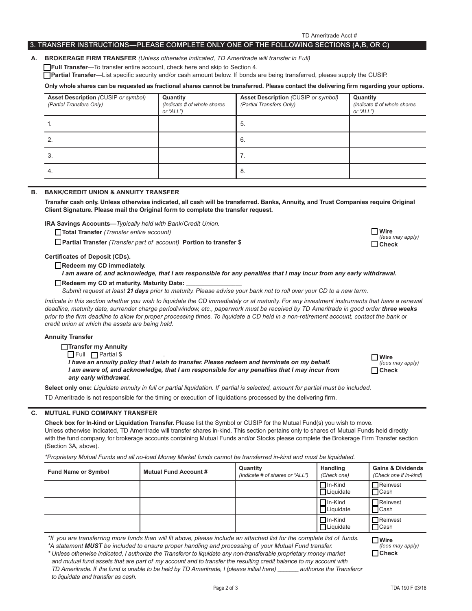*TD Ameritrade. If the fund is unable to be held by TD Ameritrade, I (please initial here) \_\_\_\_\_\_\_ authorize the Transferor* 

TD Ameritrade Acct # \_\_\_\_\_\_\_\_\_\_\_\_\_\_\_\_\_\_\_\_\_

#### 3. TRANSFER INSTRUCTIONS—PLEASE COMPLETE ONLY ONE OF THE FOLLOWING SECTIONS (A,B, OR C)

#### **A. BROKERAGE FIRM TRANSFER** *(Unless otherwise indicated, TD Ameritrade will transfer in Full)*

**TFull Transfer**—To transfer entire account, check here and skip to Section 4.

N **Partial Transfer**—List specific security and/or cash amount below. If bonds are being transferred, please supply the CUSIP.

**Only whole shares can be requested as fractional shares cannot be transferred. Please contact the delivering firm regarding your options.**

| <b>Asset Description (CUSIP or symbol)</b><br>(Partial Transfers Only) | Quantity<br>(Indicate # of whole shares<br>or "ALL") | <b>Asset Description (CUSIP or symbol)</b><br>(Partial Transfers Only) | Quantity<br>(Indicate # of whole shares<br>or "ALL") |
|------------------------------------------------------------------------|------------------------------------------------------|------------------------------------------------------------------------|------------------------------------------------------|
|                                                                        |                                                      | -5.                                                                    |                                                      |
|                                                                        |                                                      | 6.                                                                     |                                                      |
| 3.                                                                     |                                                      |                                                                        |                                                      |
| 4.                                                                     |                                                      | - 8.                                                                   |                                                      |

## **B. BANK/CREDIT UNION & ANNUITY TRANSFER**

 **Transfer cash only. Unless otherwise indicated, all cash will be transferred. Banks, Annuity, and Trust Companies require Original Client Signature. Please mail the Original form to complete the transfer request.** 

**IRA Savings Accounts***—Typically held with Bank/Credit Union.*

N **Total Transfer** *(Transfer entire account)*

N **Partial Transfer** *(Transfer part of account)* **Portion to transfer \$\_\_\_\_\_\_\_\_\_\_\_\_\_\_\_\_\_\_\_\_\_\_\_**

#### **Certificates of Deposit (CDs).**

Redeem my CD immediately.

*I am aware of, and acknowledge, that I am responsible for any penalties that I may incur from any early withdrawal.*

#### Redeem my CD at maturity. Maturity Date:

*Submit request at least 21 days prior to maturity. Please advise your bank not to roll over your CD to a new term.*

*Indicate in this section whether you wish to liquidate the CD immediately or at maturity. For any investment instruments that have a renewal deadline, maturity date, surrender charge period/window, etc., paperwork must be received by TD Ameritrade in good order three weeks prior to the firm deadline to allow for proper processing times. To liquidate a CD held in a non-retirement account, contact the bank or credit union at which the assets are being held.*

#### **Annuity Transfer**

**Transfer my Annuity** 

 $\Box$  Full  $\Box$  Partial \$

*I have an annuity policy that I wish to transfer. Please redeem and terminate on my behalf. I am aware of, and acknowledge, that I am responsible for any penalties that I may incur from any early withdrawal.*

**Select only one:** *Liquidate annuity in full or partial liquidation. If partial is selected, amount for partial must be included.* 

TD Ameritrade is not responsible for the timing or execution of liquidations processed by the delivering firm.

#### **C. MUTUAL FUND COMPANY TRANSFER**

*to liquidate and transfer as cash.*

**Check box for In-kind or Liquidation Transfer.** Please list the Symbol or CUSIP for the Mutual Fund(s) you wish to move. Unless otherwise Indicated, TD Ameritrade will transfer shares in-kind. This section pertains only to shares of Mutual Funds held directly with the fund company, for brokerage accounts containing Mutual Funds and/or Stocks please complete the Brokerage Firm Transfer section (Section 3A, above).

*\*Proprietary Mutual Funds and all no-load Money Market funds cannot be transferred in-kind and must be liquidated.*

| <b>Fund Name or Symbol</b>                                                                                                                                                                                                                                                                                                                                                                                                                                                    | Mutual Fund Account # | Quantity<br>(Indicate # of shares or "ALL") | <b>Handling</b><br>(Check one)      | <b>Gains &amp; Dividends</b><br>(Check one if In-kind)   |
|-------------------------------------------------------------------------------------------------------------------------------------------------------------------------------------------------------------------------------------------------------------------------------------------------------------------------------------------------------------------------------------------------------------------------------------------------------------------------------|-----------------------|---------------------------------------------|-------------------------------------|----------------------------------------------------------|
|                                                                                                                                                                                                                                                                                                                                                                                                                                                                               |                       |                                             | $\Box$ In-Kind<br>$\Box$ Liquidate  | <b>Neinvest</b><br>$\Box$ Cash                           |
|                                                                                                                                                                                                                                                                                                                                                                                                                                                                               |                       |                                             | $\Box$ In-Kind<br><b>□Liquidate</b> | $\Box$ Reinvest<br>$\sqcap$ Cash                         |
|                                                                                                                                                                                                                                                                                                                                                                                                                                                                               |                       |                                             | $\Box$ In-Kind<br>$\Box$ Liquidate  | <b>Neinvest</b><br>$\Box$ Cash                           |
| *If you are transferring more funds than will fit above, please include an attached list for the complete list of funds.<br>*A statement MUST be included to ensure proper handling and processing of your Mutual Fund transfer.<br>* Unless otherwise indicated, I authorize the Transferor to liquidate any non-transferable proprietary money market<br>and mutual fund assets that are part of my account and to transfer the resulting credit balance to my account with |                       |                                             |                                     | $\square$ Wire<br>(fees may apply)<br>$\mathsf{T}$ Check |

| $\Box$ Wire      |
|------------------|
| (fees may apply) |
| $\Box$ Check     |

<sup>N</sup> **Wire** *(fees may apply)* N **Check**